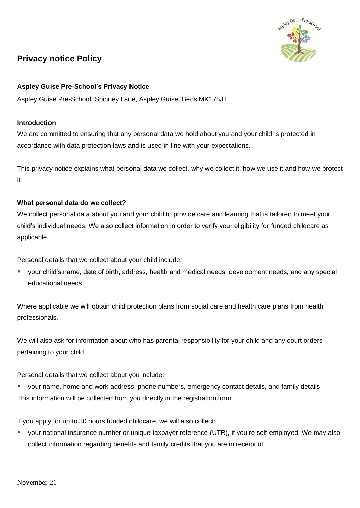# ey Guise Pre-sc

# **Privacy notice Policy**

# **Aspley Guise Pre-School's Privacy Notice**

#### Aspley Guise Pre-School, Spinney Lane, Aspley Guise, Beds MK178JT

#### **Introduction**

We are committed to ensuring that any personal data we hold about you and your child is protected in accordance with data protection laws and is used in line with your expectations.

This privacy notice explains what personal data we collect, why we collect it, how we use it and how we protect it.

## **What personal data do we collect?**

We collect personal data about you and your child to provide care and learning that is tailored to meet your child's individual needs. We also collect information in order to verify your eligibility for funded childcare as applicable.

Personal details that we collect about your child include:

■ your child's name, date of birth, address, health and medical needs, development needs, and any special educational needs

Where applicable we will obtain child protection plans from social care and health care plans from health professionals.

We will also ask for information about who has parental responsibility for your child and any court orders pertaining to your child.

Personal details that we collect about you include:

your name, home and work address, phone numbers, emergency contact details, and family details This information will be collected from you directly in the registration form.

If you apply for up to 30 hours funded childcare, we will also collect:

your national insurance number or unique taxpayer reference (UTR), if you're self-employed. We may also collect information regarding benefits and family credits that you are in receipt of.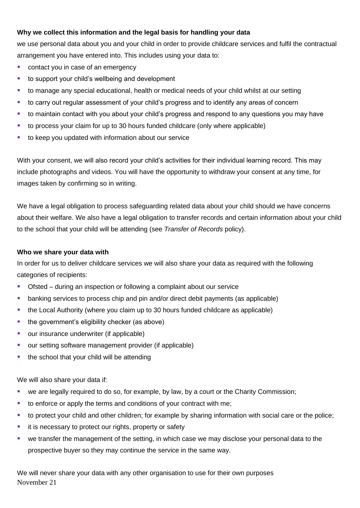# **Why we collect this information and the legal basis for handling your data**

we use personal data about you and your child in order to provide childcare services and fulfil the contractual arrangement you have entered into. This includes using your data to:

- contact you in case of an emergency
- to support your child's wellbeing and development
- to manage any special educational, health or medical needs of your child whilst at our setting
- to carry out regular assessment of your child's progress and to identify any areas of concern
- to maintain contact with you about your child's progress and respond to any questions you may have
- to process your claim for up to 30 hours funded childcare (only where applicable)
- to keep you updated with information about our service

With your consent, we will also record your child's activities for their individual learning record. This may include photographs and videos. You will have the opportunity to withdraw your consent at any time, for images taken by confirming so in writing.

We have a legal obligation to process safeguarding related data about your child should we have concerns about their welfare. We also have a legal obligation to transfer records and certain information about your child to the school that your child will be attending (see *Transfer of Records* policy).

#### **Who we share your data with**

In order for us to deliver childcare services we will also share your data as required with the following categories of recipients:

- Ofsted during an inspection or following a complaint about our service
- banking services to process chip and pin and/or direct debit payments (as applicable)
- the Local Authority (where you claim up to 30 hours funded childcare as applicable)
- the government's eligibility checker (as above)
- our insurance underwriter (if applicable)
- our setting software management provider (if applicable)
- the school that your child will be attending

We will also share your data if:

- we are legally required to do so, for example, by law, by a court or the Charity Commission;
- to enforce or apply the terms and conditions of your contract with me;
- to protect your child and other children; for example by sharing information with social care or the police;
- it is necessary to protect our rights, property or safety
- we transfer the management of the setting, in which case we may disclose your personal data to the prospective buyer so they may continue the service in the same way.

November 21 We will never share your data with any other organisation to use for their own purposes